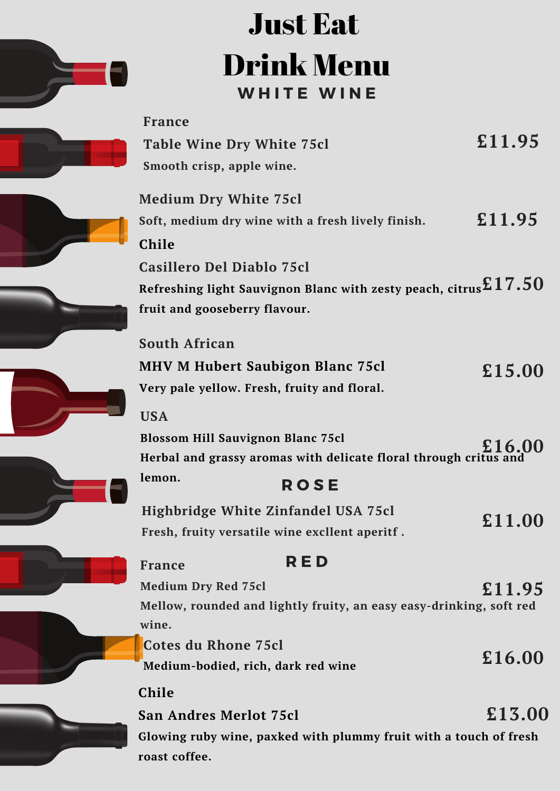

## WHITE WINE Just Eat Drink Menu

| <b>France</b><br><b>Table Wine Dry White 75cl</b>                                                                                                | £11.95 |
|--------------------------------------------------------------------------------------------------------------------------------------------------|--------|
| Smooth crisp, apple wine.<br><b>Medium Dry White 75cl</b><br>Soft, medium dry wine with a fresh lively finish.<br>Chile                          | £11.95 |
| <b>Casillero Del Diablo 75cl</b><br>Refreshing light Sauvignon Blanc with zesty peach, citrus $\mathtt{£17.50}$<br>fruit and gooseberry flavour. |        |
| <b>South African</b><br><b>MHV M Hubert Saubigon Blanc 75cl</b><br>Very pale yellow. Fresh, fruity and floral.                                   | £15.00 |
| <b>USA</b><br><b>Blossom Hill Sauvignon Blanc 75cl</b><br>Herbal and grassy aromas with delicate floral through critus and                       | £16.00 |
| lemon.<br><b>ROSE</b><br>Highbridge White Zinfandel USA 75cl<br>Fresh, fruity versatile wine excllent aperitf.                                   | £11.00 |
| RED<br><b>France</b><br><b>Medium Dry Red 75cl</b>                                                                                               |        |
| Mellow, rounded and lightly fruity, an easy easy-drinking, soft red<br>wine.                                                                     | £11.95 |
| <b>Cotes du Rhone 75cl</b><br>Medium-bodied, rich, dark red wine                                                                                 | £16.00 |
| <b>Chile</b><br><b>San Andres Merlot 75cl</b><br>Glowing ruby wine, paxked with plummy fruit with a touch of fresh<br>roast coffee.              | £13.00 |